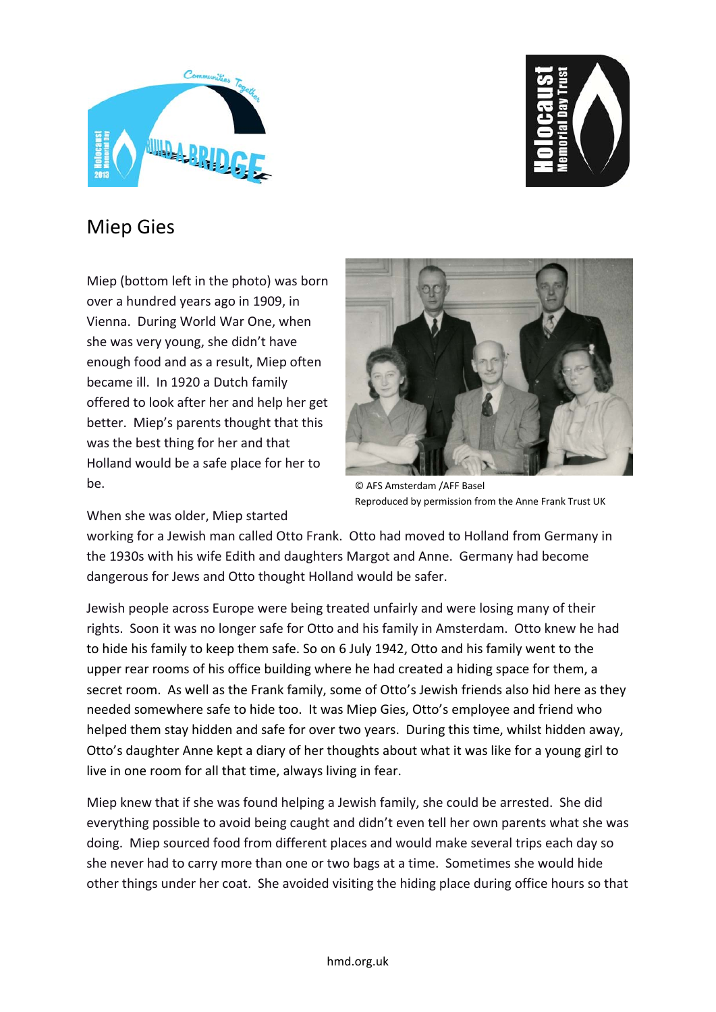



## Miep Gies

Miep (bottom left in the photo) was born over a hundred years ago in 1909, in Vienna. During World War One, when she was very young, she didn't have enough food and as a result, Miep often became ill. In 1920 a Dutch family offered to look after her and help her get better. Miep's parents thought that this was the best thing for her and that Holland would be a safe place for her to  $he$ 



© AFS Amsterdam /AFF Basel Reproduced by permission from the Anne Frank Trust UK

When she was older, Miep started

working for a Jewish man called Otto Frank. Otto had moved to Holland from Germany in the 1930s with his wife Edith and daughters Margot and Anne. Germany had become dangerous for Jews and Otto thought Holland would be safer.

Jewish people across Europe were being treated unfairly and were losing many of their rights. Soon it was no longer safe for Otto and his family in Amsterdam. Otto knew he had to hide his family to keep them safe. So on 6 July 1942, Otto and his family went to the upper rear rooms of his office building where he had created a hiding space for them, a secret room. As well as the Frank family, some of Otto's Jewish friends also hid here as they needed somewhere safe to hide too. It was Miep Gies, Otto's employee and friend who helped them stay hidden and safe for over two years. During this time, whilst hidden away, Otto's daughter Anne kept a diary of her thoughts about what it was like for a young girl to live in one room for all that time, always living in fear.

Miep knew that if she was found helping a Jewish family, she could be arrested. She did everything possible to avoid being caught and didn't even tell her own parents what she was doing. Miep sourced food from different places and would make several trips each day so she never had to carry more than one or two bags at a time. Sometimes she would hide other things under her coat. She avoided visiting the hiding place during office hours so that